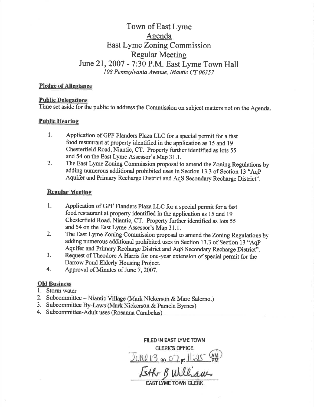# Town of East Lyme Agenda East Lyme Zoning Commission **Regular Meeting** June 21, 2007 - 7:30 P.M. East Lyme Town Hall 108 Pennsylvania Avenue, Niantic CT 06357

# **Pledge of Allegiance**

### **Public Delegations**

Time set aside for the public to address the Commission on subject matters not on the Agenda.

### **Public Hearing**

- Application of GPF Flanders Plaza LLC for a special permit for a fast  $1.$ food restaurant at property identified in the application as 15 and 19 Chesterfield Road, Niantic, CT. Property further identified as lots 55 and 54 on the East Lyme Assessor's Map 31.1.
- $2.$ The East Lyme Zoning Commission proposal to amend the Zoning Regulations by adding numerous additional prohibited uses in Section 13.3 of Section 13 "AqP Aquifer and Primary Recharge District and AqS Secondary Recharge District".

# **Regular Meeting**

- 1. Application of GPF Flanders Plaza LLC for a special permit for a fast food restaurant at property identified in the application as 15 and 19 Chesterfield Road, Niantic, CT. Property further identified as lots 55 and 54 on the East Lyme Assessor's Map 31.1.
- The East Lyme Zoning Commission proposal to amend the Zoning Regulations by  $2.$ adding numerous additional prohibited uses in Section 13.3 of Section 13 "AqP Aquifer and Primary Recharge District and AqS Secondary Recharge District".
- $3<sub>1</sub>$ Request of Theodore A Harris for one-year extension of special permit for the Darrow Pond Elderly Housing Project.
- 4. Approval of Minutes of June 7, 2007.

# **Old Business**

- 1. Storm water
- 2. Subcommittee Niantic Village (Mark Nickerson & Marc Salerno.)
- 3. Subcommittee By-Laws (Mark Nickerson & Pamela Byrnes)
- 4. Subcommittee-Adult uses (Rosanna Carabelas)

FILED IN EAST LYME TOWN **CLERK'S OFFICE**  $J$ UNC 13 20 07 pt  $1/25$ Eth Bulliams **EAST LYME TOWN CI**